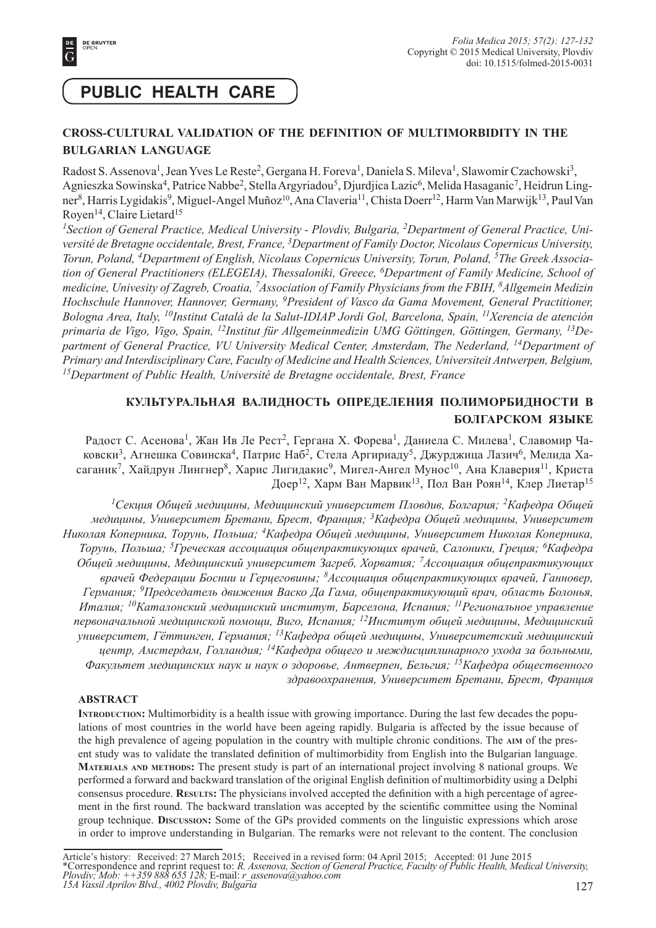

# **PUBLIC HEALTH CARE**

## **CROSS-CULTURAL VALIDATION OF THE DEFINITION OF MULTIMORBIDITY IN THE BULGARIAN LANGUAGE**

Radost S. Assenova<sup>1</sup>, Jean Yves Le Reste<sup>2</sup>, Gergana H. Foreva<sup>1</sup>, Daniela S. Mileva<sup>1</sup>, Slawomir Czachowski<sup>3</sup>, Agnieszka Sowinska<sup>4</sup>, Patrice Nabbe<sup>2</sup>, Stella Argyriadou<sup>5</sup>, Djurdjica Lazic<sup>6</sup>, Melida Hasaganic<sup>7</sup>, Heidrun Lingner<sup>8</sup>, Harris Lygidakis<sup>9</sup>, Miguel-Angel Muñoz<sup>10</sup>, Ana Claveria<sup>11</sup>, Chista Doerr<sup>12</sup>, Harm Van Marwijk<sup>13</sup>, Paul Van Royen<sup>14</sup>, Claire Lietard<sup>15</sup>

*1Section of General Practice, Medical University - Plovdiv, Bulgaria, 2Department of General Practice, Université de Bretagne occidentale, Brest, France, 3Department of Family Doctor, Nicolaus Copernicus University, Torun, Poland, 4Department of English, Nicolaus Copernicus University, Torun, Poland, 5The Greek Association of General Practitioners (ELEGEIA), Thessaloniki, Greece, 6Department of Family Medicine, School of medicine, Univesity of Zagreb, Croatia, 7Association of Family Physicians from the FBIH, 8Allgemein Medizin Hochschule Hannover, Hannover, Germany, 9President of Vasco da Gama Movement, General Practitioner, Bologna Area, Italy, 10Institut Català de la Salut-IDIAP Jordi Gol, Barcelona, Spain, 11Xerencia de atención primaria de Vigo, Vigo, Spain, 12Institut für Allgemeinmedizin UMG Göttingen, Göttingen, Germany, 13Department of General Practice, VU University Medical Center, Amsterdam, The Nederland, 14Department of Primary and Interdisciplinary Care, Faculty of Medicine and Health Sciences, Universiteit Antwerpen, Belgium, 15Department of Public Health, Université de Bretagne occidentale, Brest, France*

# **КУЛЬТУРАЛЬНАЯ ВАЛИДНОСТЬ ОПРЕДЕЛЕНИЯ ПОЛИМОРБИДНОСТИ В БОЛГАРСКОМ ЯЗЫКЕ**

Радост С. Асенова<sup>1</sup>, Жан Ив Ле Рест<sup>2</sup>, Гергана Х. Форева<sup>1</sup>, Даниела С. Милева<sup>1</sup>, Славомир Чаковски<sup>3</sup>, Агнешка Совинска<sup>4</sup>, Патрис Наб<sup>2</sup>, Стела Аргириаду<sup>5</sup>, Джурджица Лазич<sup>6</sup>, Мелида Хасаганик<sup>7</sup>, Хайдрун Лингнер<sup>8</sup>, Харис Лигидакис<sup>9</sup>, Мигел-Ангел Мунос<sup>10</sup>, Ана Клаверия<sup>11</sup>, Криста Доер12, Харм Ван Марвик13, Пол Ван Роян14, Клер Лиетар<sup>15</sup>

*<sup>1</sup>Секция Общей медицины, Медицинский университет Пловдив, Болгария; 2Кафедра Общей медицины, Университет Бретани, Брест, Франция; 3Кафедра Общей медицины, Университет Николая Коперника, Торунь, Польша; 4Кафедра Общей медицины, Университет Николая Коперника, Торунь, Польша; 5Греческая ассоциация общепрактикующих врачей, Салоники, Греция; 6Кафедра Общей медицины, Медицинский университет Загреб, Хорватия; 7Ассоциация общепрактикующих врачей Федерации Боснии и Герцеговины; 8Ассоциация общепрактикующих врачей, Ганновер, Германия; 9Председатель движения Васко Да Гама, общепрактикующий врач, область Болонья, Италия; 10Каталонский медицинский институт, Барселона, Испания; 11Региональное управление первоначальной медицинской помощи, Виго, Испания; 12Институт общей медицины, Медицинский университет, Гёттинген, Германия; 13Кафедра общей медицины, Университетский медицинский центр, Амстердам, Голландия; 14Кафедра общего и междисциплинарного ухода за больными, Факультет медицинских наук и наук о здоровье, Антверпен, Бельгия; 15Кафедра общественного здравоохранения, Университет Бретани, Брест, Франция*

## **ABSTRACT**

**INTRODUCTION:** Multimorbidity is a health issue with growing importance. During the last few decades the populations of most countries in the world have been ageing rapidly. Bulgaria is affected by the issue because of the high prevalence of ageing population in the country with multiple chronic conditions. The **AIM** of the present study was to validate the translated definition of multimorbidity from English into the Bulgarian language. **MATERIALS AND METHODS:** The present study is part of an international project involving 8 national groups. We performed a forward and backward translation of the original English definition of multimorbidity using a Delphi consensus procedure. **RESULTS:** The physicians involved accepted the definition with a high percentage of agreement in the first round. The backward translation was accepted by the scientific committee using the Nominal group technique. **DISCUSSION:** Some of the GPs provided comments on the linguistic expressions which arose in order to improve understanding in Bulgarian. The remarks were not relevant to the content. The conclusion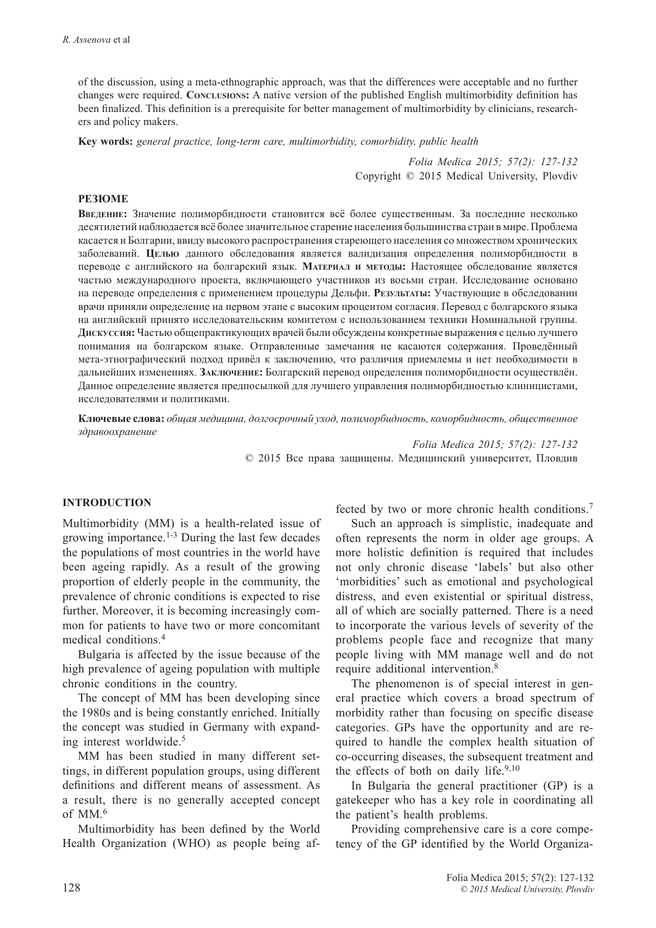of the discussion, using a meta-ethnographic approach, was that the differences were acceptable and no further changes were required. Conclusions: A native version of the published English multimorbidity definition has been finalized. This definition is a prerequisite for better management of multimorbidity by clinicians, researchers and policy makers.

**Key words:** *general practice, long-term care, multimorbidity, comorbidity, public health*

*Folia Medica 2015; 57(2): 127-132* Copyright © 2015 Medical University, Plovdiv

## **РЕЗЮМЕ**

**ВВЕДЕНИЕ:** Значение полиморбидности становится всё более существенным. За последние несколько десятилетий наблюдается всё более значительное старение населения большинства стран вмире. Проблема касается и Болгарии, ввиду высокого распространения стареющего населения со множеством хронических заболеваний. **ЦЕЛЬЮ** данного обследования является валидизация определения полиморбидности в переводе с английского на болгарский язык. **МАТЕРИАЛ <sup>И</sup> МЕТОДЫ:** Настоящее обследование является частью международного проекта, включающего участников из восьми стран. Исследование основано на переводе определения с применением процедуры Дельфи. **РЕЗУЛЬТАТЫ:** Участвующие в обследовании врачи приняли определение на первом этапе с высоким процентом согласия. Перевод с болгарского языка на английский принято исследовательским комитетом с использованием техники Номинальной группы. **ДИСКУССИЯ:** Частью общепрактикующих врачей были обсуждены конкретные выражения с целью лучшего понимания на болгарском языке. Отправленные замечания не касаются содержания. Проведённый мета-этнографический подход привёл к заключению, что различия приемлемы и нет необходимости в дальнейших изменениях. **ЗАКЛЮЧЕНИЕ:** Болгарский перевод определения полиморбидности осуществлён. Данное определение является предпосылкой для лучшего управления полиморбидностью клиницистами, исследователями и политиками.

**Ключевые слова:** *общая медицина, долгосрочный уход, полиморбидность, коморбидность, общественное здравоохранение*

> *Folia Medica 2015; 57(2): 127-132* © 2015 Все права защищены. Медицинский университет, Пловдив

#### **INTRODUCTION**

Multimorbidity (MM) is a health-related issue of growing importance.<sup>1-3</sup> During the last few decades the populations of most countries in the world have been ageing rapidly. As a result of the growing proportion of elderly people in the community, the prevalence of chronic conditions is expected to rise further. Moreover, it is becoming increasingly common for patients to have two or more concomitant medical conditions.4

Bulgaria is affected by the issue because of the high prevalence of ageing population with multiple chronic conditions in the country.

The concept of MM has been developing since the 1980s and is being constantly enriched. Initially the concept was studied in Germany with expanding interest worldwide.5

MM has been studied in many different settings, in different population groups, using different definitions and different means of assessment. As a result, there is no generally accepted concept of MM $<sup>6</sup>$ </sup>

Multimorbidity has been defined by the World Health Organization (WHO) as people being affected by two or more chronic health conditions.<sup>7</sup>

Such an approach is simplistic, inadequate and often represents the norm in older age groups. A more holistic definition is required that includes not only chronic disease 'labels' but also other 'morbidities' such as emotional and psychological distress, and even existential or spiritual distress, all of which are socially patterned. There is a need to incorporate the various levels of severity of the problems people face and recognize that many people living with MM manage well and do not require additional intervention.8

The phenomenon is of special interest in general practice which covers a broad spectrum of morbidity rather than focusing on specific disease categories. GPs have the opportunity and are required to handle the complex health situation of co-occurring diseases, the subsequent treatment and the effects of both on daily life. $9,10$ 

In Bulgaria the general practitioner (GP) is a gatekeeper who has a key role in coordinating all the patient's health problems.

Providing comprehensive care is a core competency of the GP identified by the World Organiza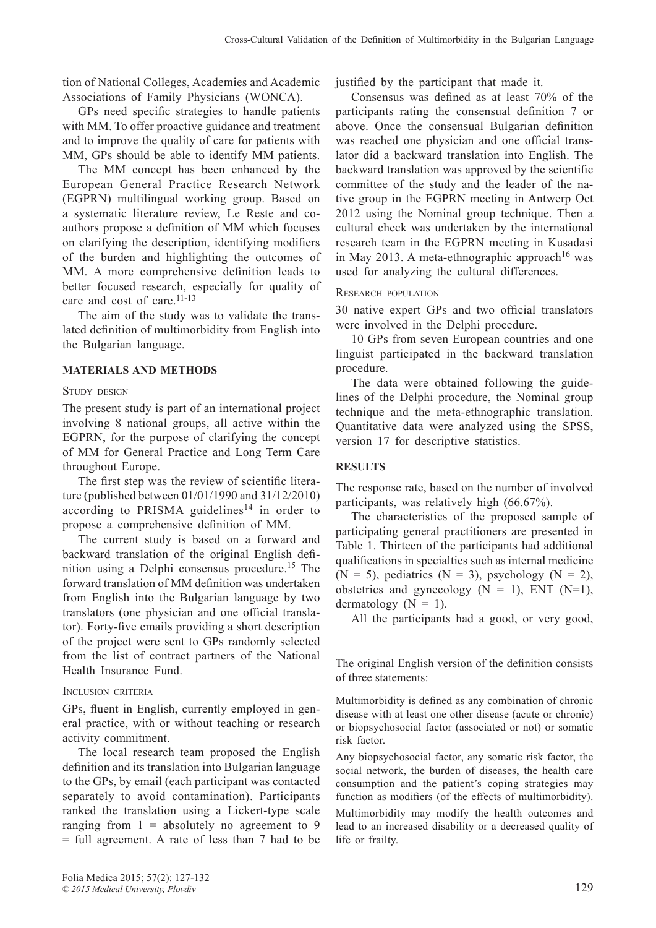tion of National Colleges, Academies and Academic Associations of Family Physicians (WONCA).

GPs need specific strategies to handle patients with MM. To offer proactive guidance and treatment and to improve the quality of care for patients with MM, GPs should be able to identify MM patients.

The MM concept has been enhanced by the European General Practice Research Network (EGPRN) multilingual working group. Based on a systematic literature review, Le Reste and coauthors propose a definition of MM which focuses on clarifying the description, identifying modifiers of the burden and highlighting the outcomes of MM. A more comprehensive definition leads to better focused research, especially for quality of care and cost of care.<sup>11-13</sup>

The aim of the study was to validate the translated definition of multimorbidity from English into the Bulgarian language.

## **MATERIALS AND METHODS**

STUDY DESIGN

The present study is part of an international project involving 8 national groups, all active within the EGPRN, for the purpose of clarifying the concept of MM for General Practice and Long Term Care throughout Europe.

The first step was the review of scientific literature (published between 01/01/1990 and 31/12/2010) according to PRISMA guidelines<sup>14</sup> in order to propose a comprehensive definition of MM.

The current study is based on a forward and backward translation of the original English definition using a Delphi consensus procedure.15 The forward translation of MM definition was undertaken from English into the Bulgarian language by two translators (one physician and one official translator). Forty-five emails providing a short description of the project were sent to GPs randomly selected from the list of contract partners of the National Health Insurance Fund.

## INCLUSION CRITERIA

GPs, fluent in English, currently employed in general practice, with or without teaching or research activity commitment.

The local research team proposed the English definition and its translation into Bulgarian language to the GPs, by email (each participant was contacted separately to avoid contamination). Participants ranked the translation using a Lickert-type scale ranging from  $1 =$  absolutely no agreement to 9 = full agreement. A rate of less than 7 had to be justified by the participant that made it.

Consensus was defined as at least  $70\%$  of the participants rating the consensual definition 7 or above. Once the consensual Bulgarian definition was reached one physician and one official translator did a backward translation into English. The backward translation was approved by the scientific committee of the study and the leader of the native group in the EGPRN meeting in Antwerp Oct 2012 using the Nominal group technique. Then a cultural check was undertaken by the international research team in the EGPRN meeting in Kusadasi in May 2013. A meta-ethnographic approach<sup>16</sup> was used for analyzing the cultural differences.

## RESEARCH POPULATION

30 native expert GPs and two official translators were involved in the Delphi procedure.

10 GPs from seven European countries and one linguist participated in the backward translation procedure.

The data were obtained following the guidelines of the Delphi procedure, the Nominal group technique and the meta-ethnographic translation. Quantitative data were analyzed using the SPSS, version 17 for descriptive statistics.

## **RESULTS**

The response rate, based on the number of involved participants, was relatively high (66.67%).

The characteristics of the proposed sample of participating general practitioners are presented in Table 1. Thirteen of the participants had additional qualifications in specialties such as internal medicine  $(N = 5)$ , pediatrics  $(N = 3)$ , psychology  $(N = 2)$ , obstetrics and gynecology  $(N = 1)$ , ENT  $(N=1)$ , dermatology  $(N = 1)$ .

All the participants had a good, or very good,

The original English version of the definition consists of three statements:

Multimorbidity is defined as any combination of chronic disease with at least one other disease (acute or chronic) or biopsychosocial factor (associated or not) or somatic risk factor.

Any biopsychosocial factor, any somatic risk factor, the social network, the burden of diseases, the health care consumption and the patient's coping strategies may function as modifiers (of the effects of multimorbidity). Multimorbidity may modify the health outcomes and lead to an increased disability or a decreased quality of life or frailty.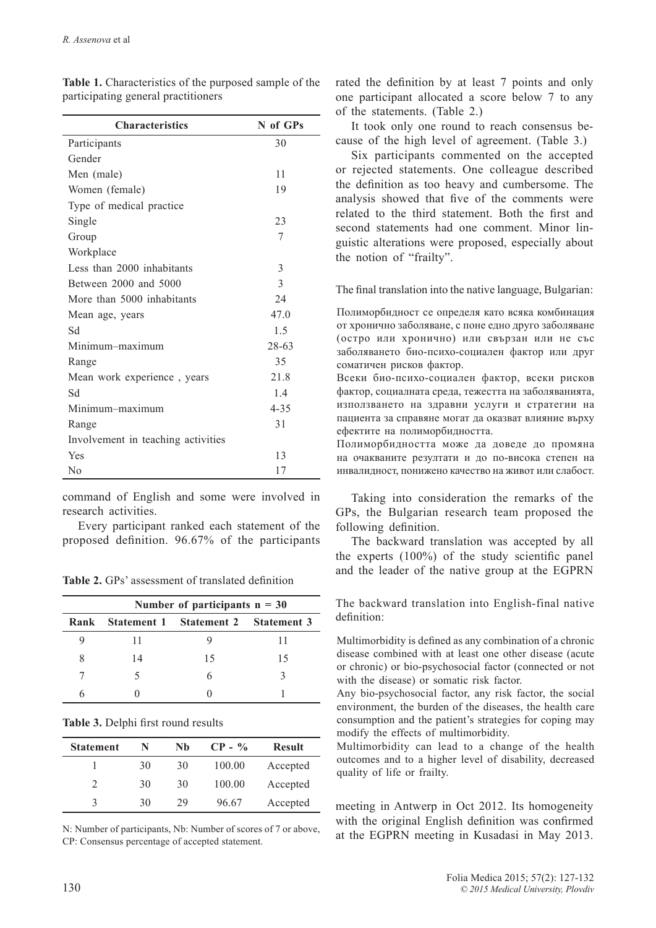| <b>Characteristics</b>             | N of GPs |
|------------------------------------|----------|
| Participants                       | 30       |
| Gender                             |          |
| Men (male)                         | 11       |
| Women (female)                     | 19       |
| Type of medical practice           |          |
| Single                             | 23       |
| Group                              | 7        |
| Workplace                          |          |
| Less than 2000 inhabitants         | 3        |
| Between 2000 and 5000              | 3        |
| More than 5000 inhabitants         | 24       |
| Mean age, years                    | 47.0     |
| Sd                                 | 1.5      |
| Minimum-maximum                    | 28-63    |
| Range                              | 35       |
| Mean work experience, years        | 21.8     |
| Sd                                 | 1.4      |
| Minimum-maximum                    | $4 - 35$ |
| Range                              | 31       |
| Involvement in teaching activities |          |
| Yes                                | 13       |
| No                                 | 17       |

**Table 1.** Characteristics of the purposed sample of the participating general practitioners

command of English and some were involved in research activities.

Every participant ranked each statement of the proposed definition.  $96.67\%$  of the participants

**Table 2.** GPs' assessment of translated definition

|      | Number of participants $n = 30$ |                                     |    |  |  |
|------|---------------------------------|-------------------------------------|----|--|--|
| Rank |                                 | Statement 1 Statement 2 Statement 3 |    |  |  |
|      | 11                              |                                     | 11 |  |  |
|      | 14                              | 15                                  | 15 |  |  |
|      |                                 |                                     |    |  |  |
|      |                                 |                                     |    |  |  |

**Table 3.** Delphi first round results

| <b>Statement</b>            | N  | Nh | $CP - \%$ | <b>Result</b> |
|-----------------------------|----|----|-----------|---------------|
|                             | 30 | 30 | 100.00    | Accepted      |
| $\mathcal{D}_{\mathcal{L}}$ | 30 | 30 | 100.00    | Accepted      |
| κ                           | 30 | 29 | 96.67     | Accepted      |

N: Number of participants, Nb: Number of scores of 7 or above, CP: Consensus percentage of accepted statement.

rated the definition by at least 7 points and only one participant allocated a score below 7 to any of the statements. (Table 2.)

It took only one round to reach consensus because of the high level of agreement. (Table 3.)

Six participants commented on the accepted or rejected statements. One colleague described the definition as too heavy and cumbersome. The analysis showed that five of the comments were related to the third statement. Both the first and second statements had one comment. Minor linguistic alterations were proposed, especially about the notion of "frailty".

The final translation into the native language, Bulgarian:

Полиморбидност се определя като всяка комбинация от хронично заболяване, с поне едно друго заболяване (остро или хронично) или свързан или не със заболяването био-психо-социален фактор или друг соматичен рисков фактор.

Всеки био-психо-социален фактор, всеки рисков фактор, социалната среда, тежестта на заболяванията, използването на здравни услуги и стратегии на пациента за справяне могат да оказват влияние върху ефектите на полиморбидността.

Полиморбидността може да доведе до промяна на очакваните резултати и до по-висока степен на инвалидност, понижено качество на живот или слабост.

Taking into consideration the remarks of the GPs, the Bulgarian research team proposed the following definition.

The backward translation was accepted by all the experts  $(100\%)$  of the study scientific panel and the leader of the native group at the EGPRN

The backward translation into English-final native definition:

Multimorbidity is defined as any combination of a chronic disease combined with at least one other disease (acute or chronic) or bio-psychosocial factor (connected or not with the disease) or somatic risk factor.

Any bio-psychosocial factor, any risk factor, the social environment, the burden of the diseases, the health care consumption and the patient's strategies for coping may modify the effects of multimorbidity.

Multimorbidity can lead to a change of the health outcomes and to a higher level of disability, decreased quality of life or frailty.

meeting in Antwerp in Oct 2012. Its homogeneity with the original English definition was confirmed at the EGPRN meeting in Kusadasi in May 2013.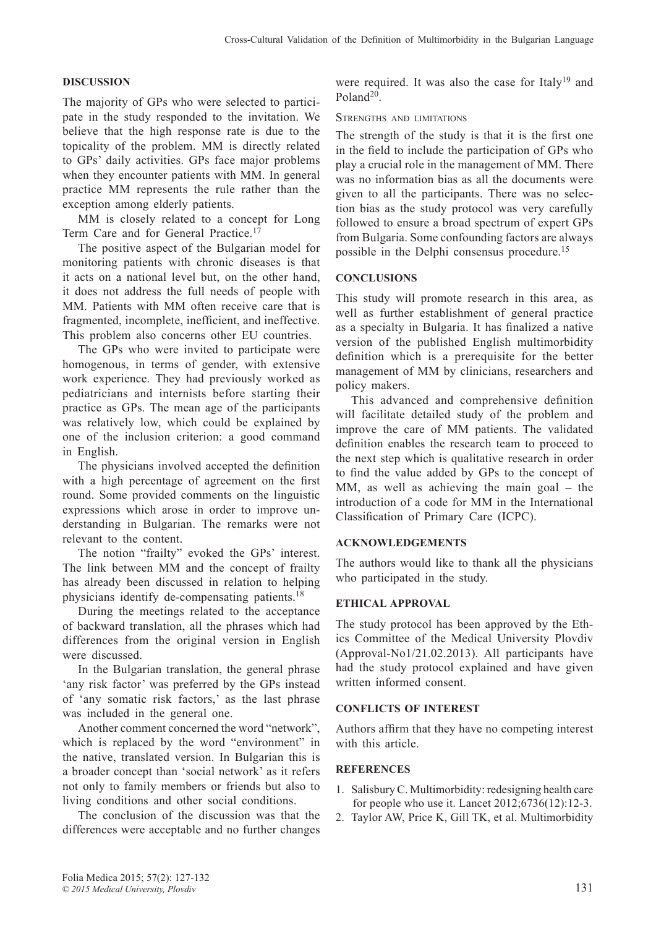## **DISCUSSION**

The majority of GPs who were selected to participate in the study responded to the invitation. We believe that the high response rate is due to the topicality of the problem. MM is directly related to GPs' daily activities. GPs face major problems when they encounter patients with MM. In general practice MM represents the rule rather than the exception among elderly patients.

MM is closely related to a concept for Long Term Care and for General Practice.17

The positive aspect of the Bulgarian model for monitoring patients with chronic diseases is that it acts on a national level but, on the other hand, it does not address the full needs of people with MM. Patients with MM often receive care that is fragmented, incomplete, inefficient, and ineffective. This problem also concerns other EU countries.

The GPs who were invited to participate were homogenous, in terms of gender, with extensive work experience. They had previously worked as pediatricians and internists before starting their practice as GPs. The mean age of the participants was relatively low, which could be explained by one of the inclusion criterion: a good command in English.

The physicians involved accepted the definition with a high percentage of agreement on the first round. Some provided comments on the linguistic expressions which arose in order to improve understanding in Bulgarian. The remarks were not relevant to the content.

The notion "frailty" evoked the GPs' interest. The link between MM and the concept of frailty has already been discussed in relation to helping physicians identify de-compensating patients.18

During the meetings related to the acceptance of backward translation, all the phrases which had differences from the original version in English were discussed.

In the Bulgarian translation, the general phrase 'any risk factor' was preferred by the GPs instead of 'any somatic risk factors,' as the last phrase was included in the general one.

Another comment concerned the word "network", which is replaced by the word "environment" in the native, translated version. In Bulgarian this is a broader concept than 'social network' as it refers not only to family members or friends but also to living conditions and other social conditions.

The conclusion of the discussion was that the differences were acceptable and no further changes were required. It was also the case for Italy<sup>19</sup> and Poland<sup>20</sup>

STRENGTHS AND LIMITATIONS

The strength of the study is that it is the first one in the field to include the participation of GPs who play a crucial role in the management of MM. There was no information bias as all the documents were given to all the participants. There was no selection bias as the study protocol was very carefully followed to ensure a broad spectrum of expert GPs from Bulgaria. Some confounding factors are always possible in the Delphi consensus procedure.15

## **CONCLUSIONS**

This study will promote research in this area, as well as further establishment of general practice as a specialty in Bulgaria. It has finalized a native version of the published English multimorbidity definition which is a prerequisite for the better management of MM by clinicians, researchers and policy makers.

This advanced and comprehensive definition will facilitate detailed study of the problem and improve the care of MM patients. The validated definition enables the research team to proceed to the next step which is qualitative research in order to find the value added by GPs to the concept of MM, as well as achieving the main goal – the introduction of a code for MM in the International Classification of Primary Care (ICPC).

#### **ACKNOWLEDGEMENTS**

The authors would like to thank all the physicians who participated in the study.

#### **ETHICAL APPROVAL**

The study protocol has been approved by the Ethics Committee of the Medical University Plovdiv (Approval-No1/21.02.2013). All participants have had the study protocol explained and have given written informed consent.

#### **CONFLICTS OF INTEREST**

Authors affirm that they have no competing interest with this article.

#### **REFERENCES**

- 1. Salisbury C. Multimorbidity: redesigning health care for people who use it. Lancet 2012;6736(12):12-3.
- 2. Taylor AW, Price K, Gill TK, et al. Multimorbidity